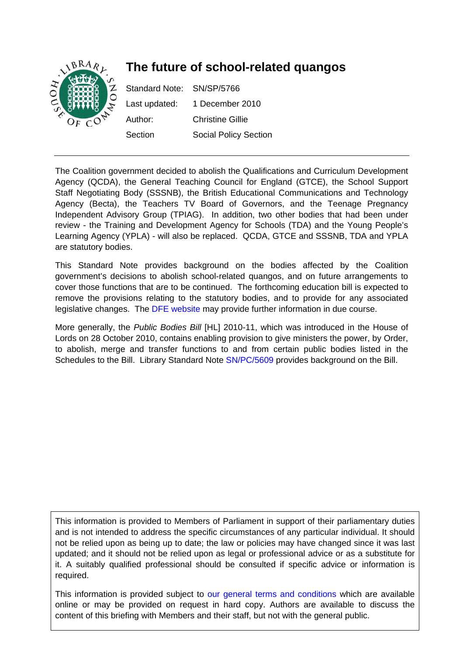

The Coalition government decided to abolish the Qualifications and Curriculum Development Agency (QCDA), the General Teaching Council for England (GTCE), the School Support Staff Negotiating Body (SSSNB), the British Educational Communications and Technology Agency (Becta), the Teachers TV Board of Governors, and the Teenage Pregnancy Independent Advisory Group (TPIAG). In addition, two other bodies that had been under review - the Training and Development Agency for Schools (TDA) and the Young People's Learning Agency (YPLA) - will also be replaced. QCDA, GTCE and SSSNB, TDA and YPLA are statutory bodies.

This Standard Note provides background on the bodies affected by the Coalition government's decisions to abolish school-related quangos, and on future arrangements to cover those functions that are to be continued. The forthcoming education bill is expected to remove the provisions relating to the statutory bodies, and to provide for any associated legislative changes. The [DFE website](http://www.education.gov.uk/) may provide further information in due course.

More generally, the *Public Bodies Bill* [HL] 2010-11, which was introduced in the House of Lords on 28 October 2010, contains enabling provision to give ministers the power, by Order, to abolish, merge and transfer functions to and from certain public bodies listed in the Schedules to the Bill. Library Standard Note [SN/PC/5609](http://pims.parliament.uk:81/PIMS/Static%20Files/Extended%20File%20Scan%20Files/LIBRARY_OTHER_PAPERS/STANDARD_NOTE/snpc-05609.pdf) provides background on the Bill.

This information is provided to Members of Parliament in support of their parliamentary duties and is not intended to address the specific circumstances of any particular individual. It should not be relied upon as being up to date; the law or policies may have changed since it was last updated; and it should not be relied upon as legal or professional advice or as a substitute for it. A suitably qualified professional should be consulted if specific advice or information is required.

This information is provided subject to [our general terms and conditions](http://www.parliament.uk/site_information/parliamentary_copyright.cfm) which are available online or may be provided on request in hard copy. Authors are available to discuss the content of this briefing with Members and their staff, but not with the general public.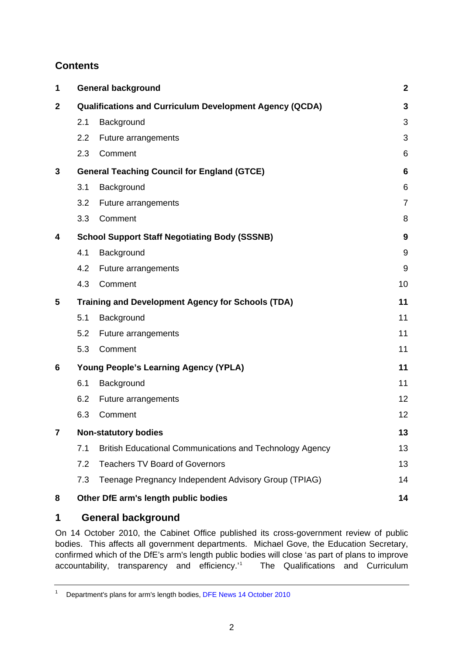# <span id="page-1-0"></span>**Contents**

| 1              |                                                                | <b>General background</b>                                |                |
|----------------|----------------------------------------------------------------|----------------------------------------------------------|----------------|
| $\mathbf{2}$   | <b>Qualifications and Curriculum Development Agency (QCDA)</b> |                                                          | 3              |
|                | 2.1                                                            | Background                                               | 3              |
|                | 2.2                                                            | Future arrangements                                      | 3              |
|                | 2.3                                                            | Comment                                                  | 6              |
| 3              | <b>General Teaching Council for England (GTCE)</b>             |                                                          | 6              |
|                | 3.1                                                            | Background                                               | 6              |
|                | 3.2                                                            | Future arrangements                                      | $\overline{7}$ |
|                | 3.3                                                            | Comment                                                  | 8              |
| 4              | <b>School Support Staff Negotiating Body (SSSNB)</b>           |                                                          | 9              |
|                | 4.1                                                            | Background                                               | 9              |
|                | 4.2                                                            | Future arrangements                                      | 9              |
|                | 4.3                                                            | Comment                                                  | 10             |
| 5              | <b>Training and Development Agency for Schools (TDA)</b>       |                                                          | 11             |
|                | 5.1                                                            | Background                                               | 11             |
|                | 5.2                                                            | Future arrangements                                      | 11             |
|                | 5.3                                                            | Comment                                                  | 11             |
| 6              | <b>Young People's Learning Agency (YPLA)</b>                   |                                                          | 11             |
|                | 6.1                                                            | Background                                               | 11             |
|                | 6.2                                                            | Future arrangements                                      | 12             |
|                | 6.3                                                            | Comment                                                  | 12             |
| $\overline{7}$ | <b>Non-statutory bodies</b>                                    |                                                          | 13             |
|                | 7.1                                                            | British Educational Communications and Technology Agency | 13             |
|                | 7.2                                                            | <b>Teachers TV Board of Governors</b>                    | 13             |
|                | 7.3                                                            | Teenage Pregnancy Independent Advisory Group (TPIAG)     | 14             |
| 8              |                                                                | Other DfE arm's length public bodies                     | 14             |

# **1 General background**

On [14 October 2010,](http://www.education.gov.uk/inthenews/inthenews/a0065289/departments-plans-for-arms-length-bodies) the Cabinet Office published its cross-government review of public bodies. This affects all government departments. Michael Gove, the Education Secretary, confirmed which of the DfE's arm's length public bodies will close 'as part of plans to improve accountability, transparency and efficiency.'[1](#page-1-1) The Qualifications and Curriculum

<span id="page-1-1"></span><sup>1</sup> Department's plans for arm's length bodies, [DFE News 14 October 2010](http://www.education.gov.uk/inthenews/inthenews/a0065289/departments-plans-for-arms-length-bodies)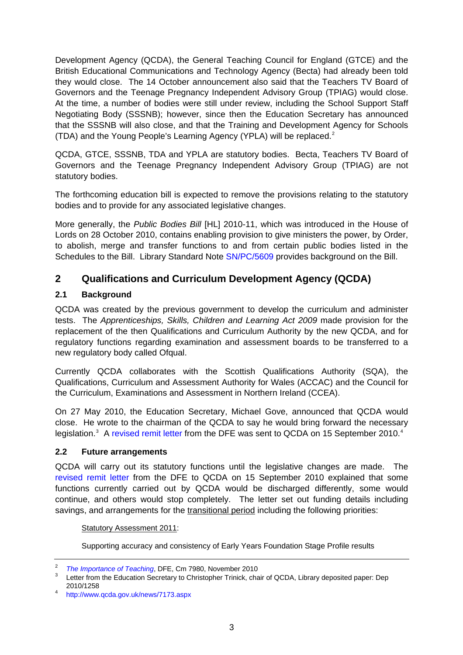<span id="page-2-0"></span>Development Agency (QCDA), the General Teaching Council for England (GTCE) and the British Educational Communications and Technology Agency (Becta) had already been told they would close. The 14 October announcement also said that the Teachers TV Board of Governors and the Teenage Pregnancy Independent Advisory Group (TPIAG) would close. At the time, a number of bodies were still under review, including the School Support Staff Negotiating Body (SSSNB); however, since then the Education Secretary has announced that the SSSNB will also close, and that the Training and Development Agency for Schools (TDA) and the Young People's Learning Agency (YPLA) will be replaced. $2$ 

QCDA, GTCE, SSSNB, TDA and YPLA are statutory bodies. Becta, Teachers TV Board of Governors and the Teenage Pregnancy Independent Advisory Group (TPIAG) are not statutory bodies.

The forthcoming education bill is expected to remove the provisions relating to the statutory bodies and to provide for any associated legislative changes.

More generally, the *Public Bodies Bill* [HL] 2010-11, which was introduced in the House of Lords on 28 October 2010, contains enabling provision to give ministers the power, by Order, to abolish, merge and transfer functions to and from certain public bodies listed in the Schedules to the Bill. Library Standard Note [SN/PC/5609](http://pims.parliament.uk:81/PIMS/Static%20Files/Extended%20File%20Scan%20Files/LIBRARY_OTHER_PAPERS/STANDARD_NOTE/snpc-05609.pdf) provides background on the Bill.

# **2 Qualifications and Curriculum Development Agency (QCDA)**

## **2.1 Background**

QCDA was created by the previous government to develop the curriculum and administer tests. The *Apprenticeships, Skills, Children and Learning Act 2009* made provision for the replacement of the then Qualifications and Curriculum Authority by the new QCDA, and for regulatory functions regarding examination and assessment boards to be transferred to a new regulatory body called Ofqual.

Currently QCDA collaborates with the Scottish Qualifications Authority (SQA), the Qualifications, Curriculum and Assessment Authority for Wales (ACCAC) and the Council for the Curriculum, Examinations and Assessment in Northern Ireland (CCEA).

On 27 May 2010, the Education Secretary, Michael Gove, announced that QCDA would close. He wrote to the chairman of the QCDA to say he would bring forward the necessary legislation.<sup>[3](#page-2-2)</sup> A [revised remit letter](http://www.qcda.gov.uk/docs/2010_DfE_Secretary_of_State_Rt_Hon_Michael_Gove_MP.pdf) from the DFE was sent to QCDA on 15 September 2010.<sup>[4](#page-2-3)</sup>

### **2.2 Future arrangements**

QCDA will carry out its statutory functions until the legislative changes are made. The [revised remit letter](http://www.qcda.gov.uk/docs/2010_DfE_Secretary_of_State_Rt_Hon_Michael_Gove_MP.pdf) from the DFE to QCDA on 15 September 2010 explained that some functions currently carried out by QCDA would be discharged differently, some would continue, and others would stop completely. The letter set out funding details including savings, and arrangements for the transitional period including the following priorities:

### Statutory Assessment 2011:

Supporting accuracy and consistency of Early Years Foundation Stage Profile results

<span id="page-2-1"></span><sup>2</sup> <sup>2</sup> *The Importance of Teaching*[,](http://publications.education.gov.uk/eOrderingDownload/CM-7980.pdf) DFE, Cm 7980, November 2010<br><sup>3</sup> Lotter from the Education Secretary to Christopher Tripick, abo

<span id="page-2-2"></span>Letter from the Education Secretary to Christopher Trinick, chair of QCDA, Library deposited paper: Dep 2010/1258 4

<span id="page-2-3"></span><http://www.qcda.gov.uk/news/7173.aspx>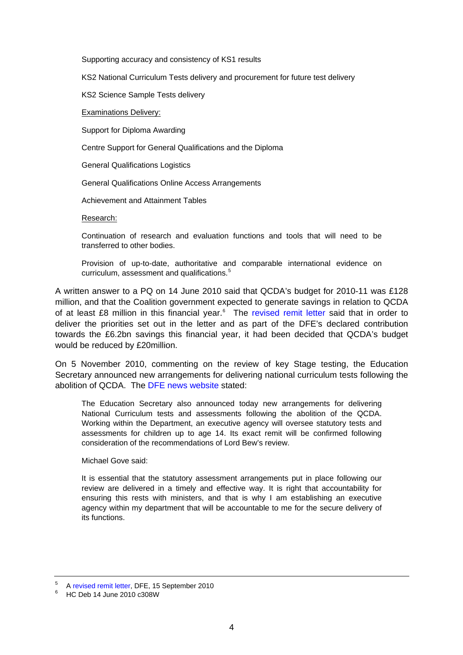Supporting accuracy and consistency of KS1 results

KS2 National Curriculum Tests delivery and procurement for future test delivery

KS2 Science Sample Tests delivery

Examinations Delivery:

Support for Diploma Awarding

Centre Support for General Qualifications and the Diploma

General Qualifications Logistics

General Qualifications Online Access Arrangements

Achievement and Attainment Tables

Research:

Continuation of research and evaluation functions and tools that will need to be transferred to other bodies.

Provision of up-to-date, authoritative and comparable international evidence on curriculum, assessment and qualifications.<sup>[5](#page-3-0)</sup>

A written answer to a PQ on 14 June 2010 said that QCDA's budget for 2010-11 was £128 million, and that the Coalition government expected to generate savings in relation to QCDA of at least £8 million in this financial year.<sup>[6](#page-3-1)</sup> The [revised remit letter](http://www.qcda.gov.uk/docs/2010_DfE_Secretary_of_State_Rt_Hon_Michael_Gove_MP.pdf) said that in order to deliver the priorities set out in the letter and as part of the DFE's declared contribution towards the £6.2bn savings this financial year, it had been decided that QCDA's budget would be reduced by £20million.

On 5 November 2010, commenting on the review of key Stage testing, the Education Secretary announced new arrangements for delivering national curriculum tests following the abolition of QCDA. The [DFE news website](http://www.education.gov.uk/inthenews/inthenews/a0066617/michael-gove-announces-review-of-key-stage-2-testing) stated:

The Education Secretary also announced today new arrangements for delivering National Curriculum tests and assessments following the abolition of the QCDA. Working within the Department, an executive agency will oversee statutory tests and assessments for children up to age 14. Its exact remit will be confirmed following consideration of the recommendations of Lord Bew's review.

Michael Gove said:

It is essential that the statutory assessment arrangements put in place following our review are delivered in a timely and effective way. It is right that accountability for ensuring this rests with ministers, and that is why I am establishing an executive agency within my department that will be accountable to me for the secure delivery of its functions.

<span id="page-3-0"></span><sup>5</sup>  $\frac{5}{10}$  A [revised remit letter,](http://www.qcda.gov.uk/docs/2010_DfE_Secretary_of_State_Rt_Hon_Michael_Gove_MP.pdf) DFE, 15 September 2010

<span id="page-3-1"></span>HC Deb 14 June 2010 c308W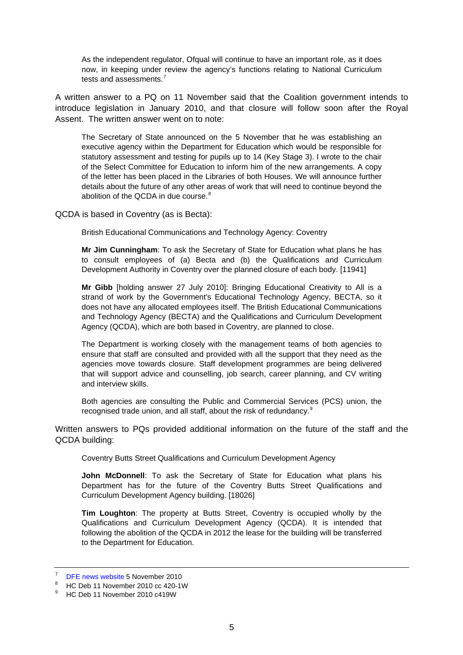As the independent regulator, Ofqual will continue to have an important role, as it does now, in keeping under review the agency's functions relating to National Curriculum tests and assessments.<sup>[7](#page-4-0)</sup>

A written answer to a PQ on 11 November said that the Coalition government intends to introduce legislation in January 2010, and that closure will follow soon after the Royal Assent. The written answer went on to note:

The Secretary of State announced on the 5 November that he was establishing an executive agency within the Department for Education which would be responsible for statutory assessment and testing for pupils up to 14 (Key Stage 3). I wrote to the chair of the Select Committee for Education to inform him of the new arrangements. A copy of the letter has been placed in the Libraries of both Houses. We will announce further details about the future of any other areas of work that will need to continue beyond the abolition of the QCDA in due course.<sup>[8](#page-4-1)</sup>

QCDA is based in Coventry (as is Becta):

British Educational Communications and Technology Agency: Coventry

**Mr Jim Cunningham**: To ask the Secretary of State for Education what plans he has to consult employees of (a) Becta and (b) the Qualifications and Curriculum Development Authority in Coventry over the planned closure of each body. [11941]

**Mr Gibb** [holding answer 27 July 2010]: Bringing Educational Creativity to All is a strand of work by the Government's Educational Technology Agency, BECTA, so it does not have any allocated employees itself. The British Educational Communications and Technology Agency (BECTA) and the Qualifications and Curriculum Development Agency (QCDA), which are both based in Coventry, are planned to close.

The Department is working closely with the management teams of both agencies to ensure that staff are consulted and provided with all the support that they need as the agencies move towards closure. Staff development programmes are being delivered that will support advice and counselling, job search, career planning, and CV writing and interview skills.

Both agencies are consulting the Public and Commercial Services (PCS) union, the recognised trade union, and all staff, about the risk of redundancy.<sup>[9](#page-4-2)</sup>

Written answers to PQs provided additional information on the future of the staff and the QCDA building:

Coventry Butts Street Qualifications and Curriculum Development Agency

**John McDonnell**: To ask the Secretary of State for Education what plans his Department has for the future of the Coventry Butts Street Qualifications and Curriculum Development Agency building. [18026]

**Tim Loughton**: The property at Butts Street, Coventry is occupied wholly by the Qualifications and Curriculum Development Agency (QCDA). It is intended that following the abolition of the QCDA in 2012 the lease for the building will be transferred to the Department for Education.

<span id="page-4-0"></span><sup>7</sup>  $\frac{7}{8}$  [DFE news website](http://www.education.gov.uk/inthenews/inthenews/a0066617/michael-gove-announces-review-of-key-stage-2-testing) 5 November 2010

HC Deb 11 November 2010 cc 420-1W

<span id="page-4-2"></span><span id="page-4-1"></span><sup>9</sup> HC Deb 11 November 2010 c419W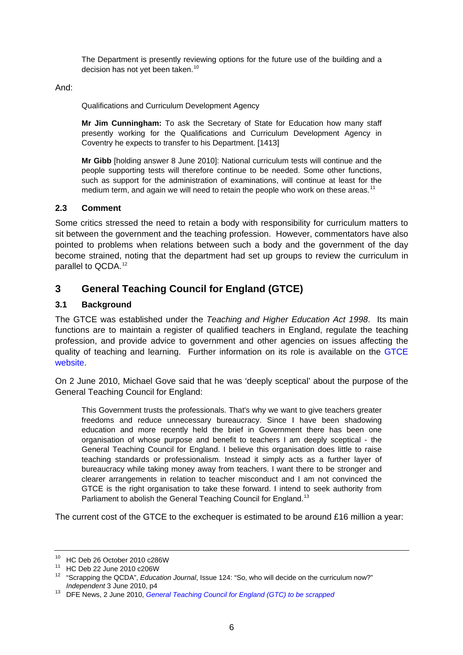<span id="page-5-0"></span>The Department is presently reviewing options for the future use of the building and a decision has not yet been taken.<sup>[10](#page-5-1)</sup>

And:

Qualifications and Curriculum Development Agency

**Mr Jim Cunningham:** To ask the Secretary of State for Education how many staff presently working for the Qualifications and Curriculum Development Agency in Coventry he expects to transfer to his Department. [1413]

**Mr Gibb** [holding answer 8 June 2010]: National curriculum tests will continue and the people supporting tests will therefore continue to be needed. Some other functions, such as support for the administration of examinations, will continue at least for the medium term, and again we will need to retain the people who work on these areas.<sup>[11](#page-5-2)</sup>

### **2.3 Comment**

Some critics stressed the need to retain a body with responsibility for curriculum matters to sit between the government and the teaching profession. However, commentators have also pointed to problems when relations between such a body and the government of the day become strained, noting that the department had set up groups to review the curriculum in parallel to QCDA.[12](#page-5-3)

# **3 General Teaching Council for England (GTCE)**

## **3.1 Background**

The GTCE was established under the *Teaching and Higher Education Act 1998*. Its main functions are to maintain a register of qualified teachers in England, regulate the teaching profession, and provide advice to government and other agencies on issues affecting the quality of teaching and learning. Further information on its role is available on the [GTCE](http://www.gtce.org.uk/)  [website](http://www.gtce.org.uk/).

On 2 June 2010, Michael Gove said that he was 'deeply sceptical' about the purpose of the General Teaching Council for England:

This Government trusts the professionals. That's why we want to give teachers greater freedoms and reduce unnecessary bureaucracy. Since I have been shadowing education and more recently held the brief in Government there has been one organisation of whose purpose and benefit to teachers I am deeply sceptical - the General Teaching Council for England. I believe this organisation does little to raise teaching standards or professionalism. Instead it simply acts as a further layer of bureaucracy while taking money away from teachers. I want there to be stronger and clearer arrangements in relation to teacher misconduct and I am not convinced the GTCE is the right organisation to take these forward. I intend to seek authority from Parliament to abolish the General Teaching Council for England.<sup>[13](#page-5-4)</sup>

The current cost of the GTCE to the exchequer is estimated to be around £16 million a year:

<span id="page-5-1"></span><sup>10</sup> HC Deb 26 October 2010 c286W

<span id="page-5-2"></span><sup>11</sup> HC Deb 22 June 2010 c206W

<span id="page-5-3"></span><sup>12 &</sup>quot;Scrapping the QCDA", *Education Journal*, Issue 124: "So, who will decide on the curriculum now?" *Independent* 3 June 2010, p4<br><sup>13</sup> DFE News, 2 June 2010, *[General Teaching Council for England \(GTC\) to be scrapped](http://www.education.gov.uk/news/news/gtcscrapped)* 

<span id="page-5-4"></span>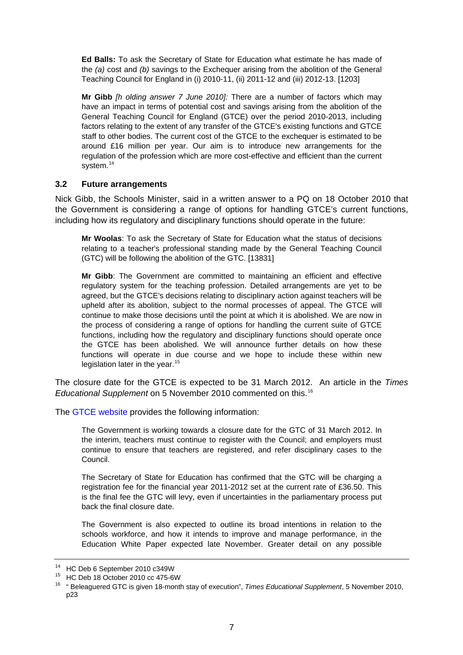<span id="page-6-0"></span>**Ed Balls:** To ask the Secretary of State for Education what estimate he has made of the *(a)* cost and *(b)* savings to the Exchequer arising from the abolition of the General Teaching Council for England in (i) 2010-11, (ii) 2011-12 and (iii) 2012-13. [1203]

**Mr Gibb** *[h olding answer 7 June 2010]:* There are a number of factors which may have an impact in terms of potential cost and savings arising from the abolition of the General Teaching Council for England (GTCE) over the period 2010-2013, including factors relating to the extent of any transfer of the GTCE's existing functions and GTCE staff to other bodies. The current cost of the GTCE to the exchequer is estimated to be around £16 million per year. Our aim is to introduce new arrangements for the regulation of the profession which are more cost-effective and efficient than the current system.<sup>[14](#page-6-1)</sup>

### **3.2 Future arrangements**

Nick Gibb, the Schools Minister, said in a written answer to a PQ on 18 October 2010 that the Government is considering a range of options for handling GTCE's current functions, including how its regulatory and disciplinary functions should operate in the future:

**Mr Woolas**: To ask the Secretary of State for Education what the status of decisions relating to a teacher's professional standing made by the General Teaching Council (GTC) will be following the abolition of the GTC. [13831]

**Mr Gibb**: The Government are committed to maintaining an efficient and effective regulatory system for the teaching profession. Detailed arrangements are yet to be agreed, but the GTCE's decisions relating to disciplinary action against teachers will be upheld after its abolition, subject to the normal processes of appeal. The GTCE will continue to make those decisions until the point at which it is abolished. We are now in the process of considering a range of options for handling the current suite of GTCE functions, including how the regulatory and disciplinary functions should operate once the GTCE has been abolished. We will announce further details on how these functions will operate in due course and we hope to include these within new legislation later in the year.<sup>[15](#page-6-2)</sup>

The closure date for the GTCE is expected to be 31 March 2012. An article in the *Times Educational Supplement* on 5 November 2010 commented on this.[16](#page-6-3)

The [GTCE website](http://www.gtce.org.uk/media_parliament/news_comment/gtc_closure2012/) provides the following information:

The Government is working towards a closure date for the GTC of 31 March 2012. In the interim, teachers must continue to register with the Council; and employers must continue to ensure that teachers are registered, and refer disciplinary cases to the Council.

The Secretary of State for Education has confirmed that the GTC will be charging a registration fee for the financial year 2011-2012 set at the current rate of £36.50. This is the final fee the GTC will levy, even if uncertainties in the parliamentary process put back the final closure date.

The Government is also expected to outline its broad intentions in relation to the schools workforce, and how it intends to improve and manage performance, in the Education White Paper expected late November. Greater detail on any possible

<span id="page-6-1"></span><sup>14</sup> HC Deb 6 September 2010 c349W

<span id="page-6-2"></span><sup>15</sup> HC Deb 18 October 2010 cc 475-6W

<span id="page-6-3"></span><sup>16 &</sup>quot; Beleaguered GTC is given 18-month stay of execution", *Times Educational Supplement*, 5 November 2010, p23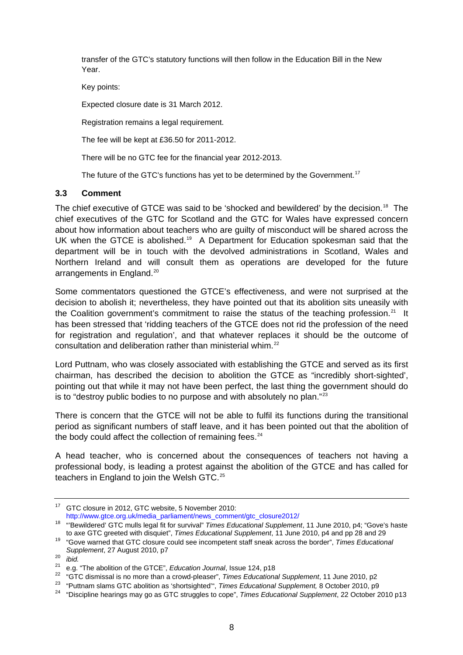<span id="page-7-0"></span>transfer of the GTC's statutory functions will then follow in the Education Bill in the New Year.

Key points:

Expected closure date is 31 March 2012.

Registration remains a legal requirement.

The fee will be kept at £36.50 for 2011-2012.

There will be no GTC fee for the financial year 2012-2013.

The future of the GTC's functions has yet to be determined by the Government.<sup>[17](#page-7-1)</sup>

### **3.3 Comment**

The chief executive of GTCE was said to be 'shocked and bewildered' by the decision.<sup>[18](#page-7-2)</sup> The chief executives of the GTC for Scotland and the GTC for Wales have expressed concern about how information about teachers who are guilty of misconduct will be shared across the UK when the GTCE is abolished.<sup>[19](#page-7-3)</sup> A Department for Education spokesman said that the department will be in touch with the devolved administrations in Scotland, Wales and Northern Ireland and will consult them as operations are developed for the future arrangements in England.<sup>[20](#page-7-4)</sup>

Some commentators questioned the GTCE's effectiveness, and were not surprised at the decision to abolish it; nevertheless, they have pointed out that its abolition sits uneasily with the Coalition government's commitment to raise the status of the teaching profession.<sup>[21](#page-7-5)</sup> It has been stressed that 'ridding teachers of the GTCE does not rid the profession of the need for registration and regulation', and that whatever replaces it should be the outcome of consultation and deliberation rather than ministerial whim.<sup>[22](#page-7-6)</sup>

Lord Puttnam, who was closely associated with establishing the GTCE and served as its first chairman, has described the decision to abolition the GTCE as "incredibly short-sighted', pointing out that while it may not have been perfect, the last thing the government should do is to "destroy public bodies to no purpose and with absolutely no plan."<sup>[23](#page-7-7)</sup>

There is concern that the GTCE will not be able to fulfil its functions during the transitional period as significant numbers of staff leave, and it has been pointed out that the abolition of the body could affect the collection of remaining fees. $24$ 

A head teacher, who is concerned about the consequences of teachers not having a professional body, is leading a protest against the abolition of the GTCE and has called for teachers in England to join the Welsh GTC.<sup>[25](#page-7-9)</sup>

<span id="page-7-1"></span><sup>&</sup>lt;sup>17</sup> GTC closure in 2012, GTC website, 5 November 2010:

[http://www.gtce.org.uk/media\\_parliament/news\\_comment/gtc\\_closure2012/](http://www.gtce.org.uk/media_parliament/news_comment/gtc_closure2012/)

<span id="page-7-9"></span><span id="page-7-2"></span><sup>18 &</sup>quot;'Bewildered' GTC mulls legal fit for survival" *Times Educational Supplement*, 11 June 2010, p4; "Gove's haste

<span id="page-7-3"></span><sup>&</sup>lt;sup>19</sup> "Gove warned that GTC closure could see incompetent staff sneak across the border", *Times Educational Supplement*, 27 August 2010, p7<br>
<sup>20</sup> *ibid.*<br>
<sup>21</sup> e.g. "The abolition of the GTCE", *Education Journal*, Issue 124, p18

<span id="page-7-4"></span>

<span id="page-7-8"></span><span id="page-7-7"></span>

<span id="page-7-6"></span><span id="page-7-5"></span><sup>&</sup>lt;sup>22</sup> "GTC dismissal is no more than a crowd-pleaser", *Times Educational Supplement*, 11 June 2010, p2<br><sup>23</sup> "Puttnam slams GTC abolition as 'shortsighted'", *Times Educational Supplement*, 8 October 2010, p9<br><sup>24</sup> "Discipl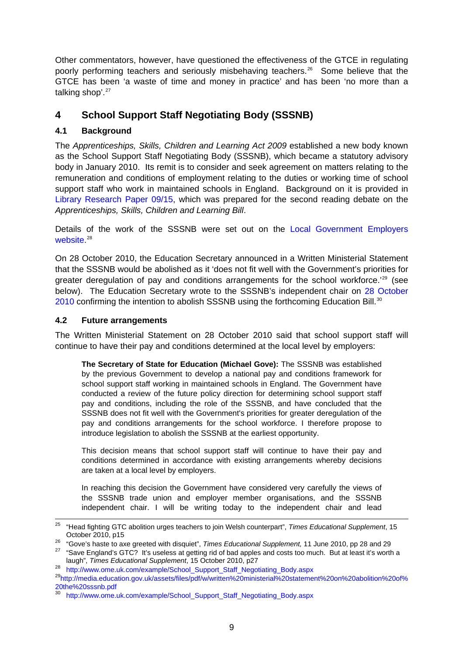<span id="page-8-0"></span>Other commentators, however, have questioned the effectiveness of the GTCE in regulating poorly performing teachers and seriously misbehaving teachers.<sup>[26](#page-8-1)</sup> Some believe that the GTCE has been 'a waste of time and money in practice' and has been 'no more than a talking shop'.<sup>[27](#page-8-2)</sup>

# **4 School Support Staff Negotiating Body (SSSNB)**

## **4.1 Background**

The *Apprenticeships, Skills, Children and Learning Act 2009* established a new body known as the School Support Staff Negotiating Body (SSSNB), which became a statutory advisory body in January 2010. Its remit is to consider and seek agreement on matters relating to the remuneration and conditions of employment relating to the duties or working time of school support staff who work in maintained schools in England. Background on it is provided in [Library Research Paper 09/15](http://pims.parliament.uk:81/PIMS/Static%20Files/Extended%20File%20Scan%20Files/LIBRARY_OTHER_PAPERS/RESEARCH_PAPER/RP09-015.pdf), which was prepared for the second reading debate on the *Apprenticeships, Skills, Children and Learning Bill*.

Details of the work of the SSSNB were set out on the [Local Government Employers](http://www.ome.uk.com/example/School_Support_Staff_Negotiating_Body.aspx)  [website](http://www.ome.uk.com/example/School_Support_Staff_Negotiating_Body.aspx).<sup>[28](#page-8-3)</sup>

On 28 October 2010, the Education Secretary announced in a Written Ministerial Statement that the SSSNB would be abolished as it 'does not fit well with the Government's priorities for greater deregulation of pay and conditions arrangements for the school workforce.<sup>'[29](#page-8-4)</sup> (see below). The Education Secretary wrote to the SSSNB's independent chair on [28 October](http://www.ome.uk.com/example/School_Support_Staff_Negotiating_Body.aspx)  [2010](http://www.ome.uk.com/example/School_Support_Staff_Negotiating_Body.aspx) confirming the intention to abolish SSSNB using the forthcoming Education Bill.<sup>[30](#page-8-5)</sup>

## **4.2 Future arrangements**

The Written Ministerial Statement on 28 October 2010 said that school support staff will continue to have their pay and conditions determined at the local level by employers:

**The Secretary of State for Education (Michael Gove):** The SSSNB was established by the previous Government to develop a national pay and conditions framework for school support staff working in maintained schools in England. The Government have conducted a review of the future policy direction for determining school support staff pay and conditions, including the role of the SSSNB, and have concluded that the SSSNB does not fit well with the Government's priorities for greater deregulation of the pay and conditions arrangements for the school workforce. I therefore propose to introduce legislation to abolish the SSSNB at the earliest opportunity.

This decision means that school support staff will continue to have their pay and conditions determined in accordance with existing arrangements whereby decisions are taken at a local level by employers.

In reaching this decision the Government have considered very carefully the views of the SSSNB trade union and employer member organisations, and the SSSNB independent chair. I will be writing today to the independent chair and lead

<sup>25</sup> 25 "Head fighting GTC abolition urges teachers to join Welsh counterpart", *Times Educational Supplement*, 15

<span id="page-8-1"></span>October 2010, p15<br><sup>26</sup> "Gove's haste to axe greeted with disquiet", *Times Educational Supplement*, 11 June 2010, pp 28 and 29<br><sup>27</sup> "Save England's GTC? It's useless at getting rid of bad apples and costs too much. But at

<span id="page-8-2"></span>laugh", *Times Educational Supplement*, 15 October 2010, p27 28 [http://www.ome.uk.com/example/School\\_Support\\_Staff\\_Negotiating\\_Body.aspx](http://www.ome.uk.com/example/School_Support_Staff_Negotiating_Body.aspx)

<span id="page-8-4"></span><span id="page-8-3"></span><sup>29</sup>[http://media.education.gov.uk/assets/files/pdf/w/written%20ministerial%20statement%20on%20abolition%20of%](http://media.education.gov.uk/assets/files/pdf/w/written%20ministerial%20statement%20on%20abolition%20of%20the%20sssnb.pdf) [20the%20sssnb.pdf](http://media.education.gov.uk/assets/files/pdf/w/written%20ministerial%20statement%20on%20abolition%20of%20the%20sssnb.pdf)

<span id="page-8-5"></span><sup>30</sup> [http://www.ome.uk.com/example/School\\_Support\\_Staff\\_Negotiating\\_Body.aspx](http://www.ome.uk.com/example/School_Support_Staff_Negotiating_Body.aspx)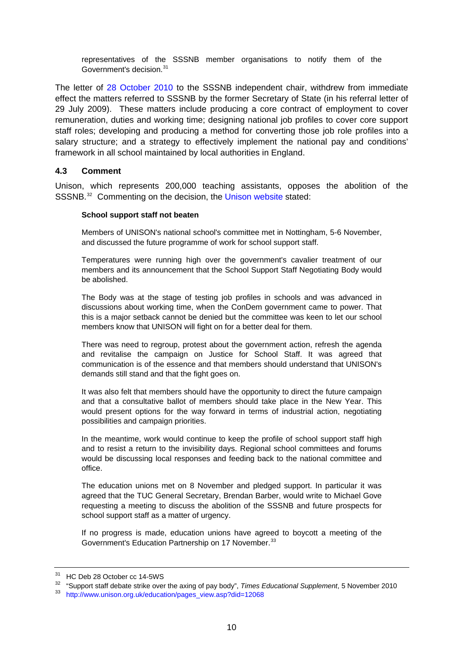<span id="page-9-0"></span>representatives of the SSSNB member organisations to notify them of the Government's decision.<sup>[31](#page-9-1)</sup>

The letter of [28 October 2010](http://www.ome.uk.com/example/School_Support_Staff_Negotiating_Body.aspx) to the SSSNB independent chair, withdrew from immediate effect the matters referred to SSSNB by the former Secretary of State (in his referral letter of 29 July 2009). These matters include producing a core contract of employment to cover remuneration, duties and working time; designing national job profiles to cover core support staff roles; developing and producing a method for converting those job role profiles into a salary structure; and a strategy to effectively implement the national pay and conditions' framework in all school maintained by local authorities in England.

### **4.3 Comment**

Unison, which represents 200,000 teaching assistants, opposes the abolition of the SSSNB.<sup>[32](#page-9-2)</sup> Commenting on the decision, the [Unison website](http://www.unison.org.uk/education/pages_view.asp?did=12068) stated:

#### **School support staff not beaten**

Members of UNISON's national school's committee met in Nottingham, 5-6 November, and discussed the future programme of work for school support staff.

Temperatures were running high over the government's cavalier treatment of our members and its announcement that the School Support Staff Negotiating Body would be abolished.

The Body was at the stage of testing job profiles in schools and was advanced in discussions about working time, when the ConDem government came to power. That this is a major setback cannot be denied but the committee was keen to let our school members know that UNISON will fight on for a better deal for them.

There was need to regroup, protest about the government action, refresh the agenda and revitalise the campaign on Justice for School Staff. It was agreed that communication is of the essence and that members should understand that UNISON's demands still stand and that the fight goes on.

It was also felt that members should have the opportunity to direct the future campaign and that a consultative ballot of members should take place in the New Year. This would present options for the way forward in terms of industrial action, negotiating possibilities and campaign priorities.

In the meantime, work would continue to keep the profile of school support staff high and to resist a return to the invisibility days. Regional school committees and forums would be discussing local responses and feeding back to the national committee and office.

The education unions met on 8 November and pledged support. In particular it was agreed that the TUC General Secretary, Brendan Barber, would write to Michael Gove requesting a meeting to discuss the abolition of the SSSNB and future prospects for school support staff as a matter of urgency.

If no progress is made, education unions have agreed to boycott a meeting of the Government's Education Partnership on 17 November.<sup>[33](#page-9-3)</sup>

<span id="page-9-1"></span><sup>31</sup> HC Deb 28 October cc 14-5WS

<span id="page-9-2"></span><sup>&</sup>lt;sup>32</sup> "Support staff debate strike over the axing of pay body", *Times Educational Supplement*, 5 November 2010<br><sup>33</sup> [http://www.unison.org.uk/education/pages\\_view.asp?did=12068](http://www.unison.org.uk/education/pages_view.asp?did=12068)

<span id="page-9-3"></span>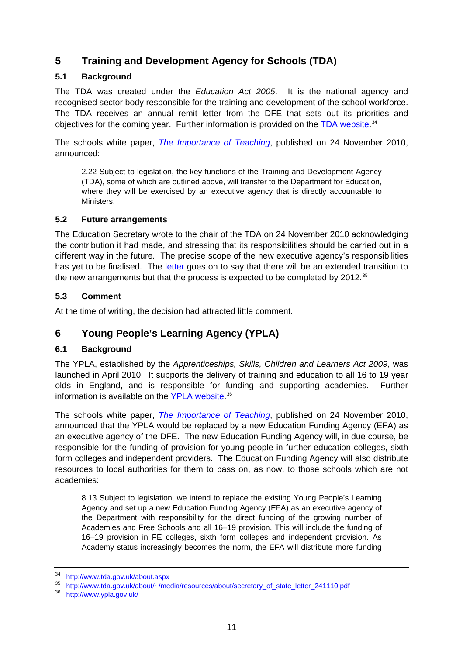# <span id="page-10-0"></span>**5 Training and Development Agency for Schools (TDA)**

## **5.1 Background**

The TDA was created under the *Education Act 2005*. It is the national agency and recognised sector body responsible for the training and development of the school workforce. The TDA receives an annual remit letter from the DFE that sets out its priorities and objectives for the coming year. Further information is provided on the [TDA website](http://www.tda.gov.uk/about.aspx).<sup>[34](#page-10-1)</sup>

The schools white paper, *[The Importance of Teaching](http://publications.education.gov.uk/eOrderingDownload/CM-7980.pdf)*, published on 24 November 2010, announced:

2.22 Subject to legislation, the key functions of the Training and Development Agency (TDA), some of which are outlined above, will transfer to the Department for Education, where they will be exercised by an executive agency that is directly accountable to Ministers.

## **5.2 Future arrangements**

The Education Secretary wrote to the chair of the TDA on 24 November 2010 acknowledging the contribution it had made, and stressing that its responsibilities should be carried out in a different way in the future. The precise scope of the new executive agency's responsibilities has yet to be finalised. The [letter](http://www.tda.gov.uk/about/%7E/media/resources/about/secretary_of_state_letter_241110.pdf) goes on to say that there will be an extended transition to the new arrangements but that the process is expected to be completed by 2012.<sup>[35](#page-10-2)</sup>

## **5.3 Comment**

At the time of writing, the decision had attracted little comment.

# **6 Young People's Learning Agency (YPLA)**

## **6.1 Background**

The YPLA, established by the *Apprenticeships, Skills, Children and Learners Act 2009*, was launched in April 2010. It supports the delivery of training and education to all 16 to 19 year olds in England, and is responsible for funding and supporting academies. Further information is available on the [YPLA website](http://www.ypla.gov.uk/). [36](#page-10-3)

The schools white paper, *[The Importance of Teaching](http://publications.education.gov.uk/eOrderingDownload/CM-7980.pdf)*, published on 24 November 2010, announced that the YPLA would be replaced by a new Education Funding Agency (EFA) as an executive agency of the DFE. The new Education Funding Agency will, in due course, be responsible for the funding of provision for young people in further education colleges, sixth form colleges and independent providers. The Education Funding Agency will also distribute resources to local authorities for them to pass on, as now, to those schools which are not academies:

8.13 Subject to legislation, we intend to replace the existing Young People's Learning Agency and set up a new Education Funding Agency (EFA) as an executive agency of the Department with responsibility for the direct funding of the growing number of Academies and Free Schools and all 16–19 provision. This will include the funding of 16–19 provision in FE colleges, sixth form colleges and independent provision. As Academy status increasingly becomes the norm, the EFA will distribute more funding

<span id="page-10-1"></span><sup>34</sup> <http://www.tda.gov.uk/about.aspx>

<span id="page-10-2"></span><sup>35</sup> [http://www.tda.gov.uk/about/~/media/resources/about/secretary\\_of\\_state\\_letter\\_241110.pdf](http://www.tda.gov.uk/about/%7E/media/resources/about/secretary_of_state_letter_241110.pdf)

<span id="page-10-3"></span><sup>36</sup> <http://www.ypla.gov.uk/>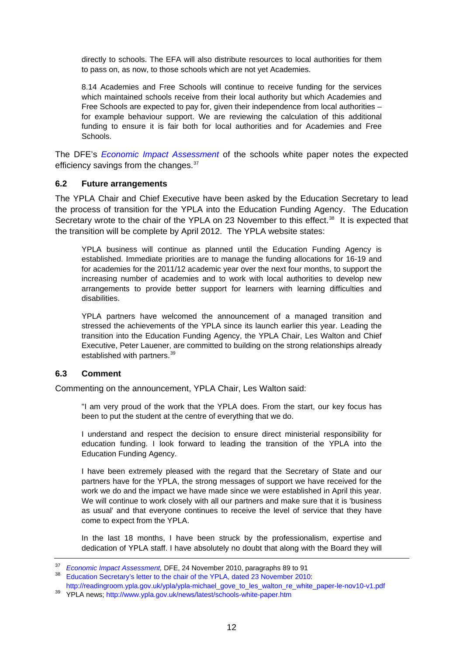<span id="page-11-0"></span>directly to schools. The EFA will also distribute resources to local authorities for them to pass on, as now, to those schools which are not yet Academies.

8.14 Academies and Free Schools will continue to receive funding for the services which maintained schools receive from their local authority but which Academies and Free Schools are expected to pay for, given their independence from local authorities – for example behaviour support. We are reviewing the calculation of this additional funding to ensure it is fair both for local authorities and for Academies and Free Schools.

The DFE's *[Economic Impact Assessment](http://media.education.gov.uk/assets/files/pdf/e/economic%20impact%20assessment.pdf)* of the schools white paper notes the expected efficiency savings from the changes.<sup>[37](#page-11-1)</sup>

#### **6.2 Future arrangements**

The YPLA Chair and Chief Executive have been asked by the Education Secretary to lead the process of transition for the YPLA into the Education Funding Agency. The Education Secretary wrote to the chair of the YPLA on 23 November to this effect.<sup>[38](#page-11-2)</sup> It is expected that the transition will be complete by April 2012. The YPLA website states:

YPLA business will continue as planned until the Education Funding Agency is established. Immediate priorities are to manage the funding allocations for 16-19 and for academies for the 2011/12 academic year over the next four months, to support the increasing number of academies and to work with local authorities to develop new arrangements to provide better support for learners with learning difficulties and disabilities.

YPLA partners have welcomed the announcement of a managed transition and stressed the achievements of the YPLA since its launch earlier this year. Leading the transition into the Education Funding Agency, the YPLA Chair, Les Walton and Chief Executive, Peter Lauener, are committed to building on the strong relationships already established with partners.<sup>[39](#page-11-3)</sup>

### **6.3 Comment**

Commenting on the announcement, YPLA Chair, Les Walton said:

"I am very proud of the work that the YPLA does. From the start, our key focus has been to put the student at the centre of everything that we do.

I understand and respect the decision to ensure direct ministerial responsibility for education funding. I look forward to leading the transition of the YPLA into the Education Funding Agency.

I have been extremely pleased with the regard that the Secretary of State and our partners have for the YPLA, the strong messages of support we have received for the work we do and the impact we have made since we were established in April this year. We will continue to work closely with all our partners and make sure that it is 'business as usual' and that everyone continues to receive the level of service that they have come to expect from the YPLA.

In the last 18 months, I have been struck by the professionalism, expertise and dedication of YPLA staff. I have absolutely no doubt that along with the Board they will

<span id="page-11-1"></span><sup>&</sup>lt;sup>37</sup> Economic Impact Assessment, DFE, 24 November 2010, paragraphs 89 to 91<br><sup>38</sup> [Education Secretary's letter to the chair of the YPLA, dated 23 November 2010](http://readingroom.ypla.gov.uk/ypla/ypla-michael_gove_to_les_walton_re_white_paper-le-nov10-v1.pdf):

<span id="page-11-2"></span>[http://readingroom.ypla.gov.uk/ypla/ypla-michael\\_gove\\_to\\_les\\_walton\\_re\\_white\\_paper-le-nov10-v1.pdf](http://readingroom.ypla.gov.uk/ypla/ypla-michael_gove_to_les_walton_re_white_paper-le-nov10-v1.pdf)

<span id="page-11-3"></span><sup>39</sup> YPLA news; <http://www.ypla.gov.uk/news/latest/schools-white-paper.htm>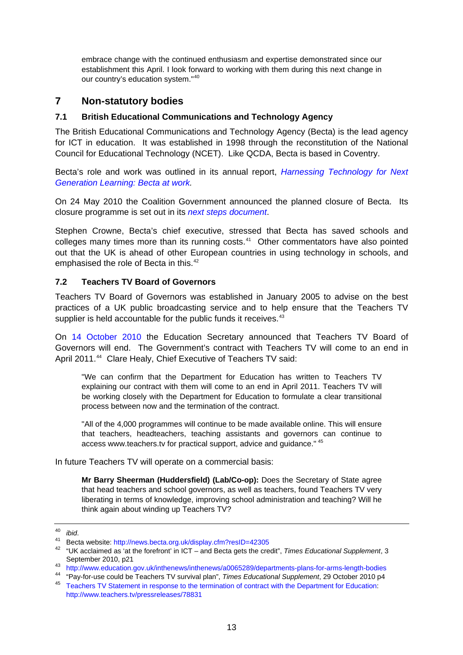<span id="page-12-0"></span>embrace change with the continued enthusiasm and expertise demonstrated since our establishment this April. I look forward to working with them during this next change in our country's education system."<sup>[40](#page-12-1)</sup>

# **7 Non-statutory bodies**

## **7.1 British Educational Communications and Technology Agency**

The British Educational Communications and Technology Agency (Becta) is the lead agency for ICT in education. It was established in 1998 through the reconstitution of the National Council for Educational Technology (NCET). Like QCDA, Becta is based in Coventry.

Becta's role and work was outlined in its annual report, *[Harnessing Technology for Next](http://publications.becta.org.uk/display.cfm?resID=39142&page=1835)  [Generation Learning: Becta at work.](http://publications.becta.org.uk/display.cfm?resID=39142&page=1835)* 

On 24 May 2010 the Coalition Government announced the planned closure of Becta. Its closure programme is set out in its *[next steps document](http://news.becta.org.uk/display.cfm?page=2137)*.

Stephen Crowne, Becta's chief executive, stressed that Becta has saved schools and colleges many times more than its running costs.<sup>[41](#page-12-2)</sup> Other commentators have also pointed out that the UK is ahead of other European countries in using technology in schools, and emphasised the role of Becta in this.<sup>[42](#page-12-3)</sup>

## **7.2 Teachers TV Board of Governors**

Teachers TV Board of Governors was established in January 2005 to advise on the best practices of a UK public broadcasting service and to help ensure that the Teachers TV supplier is held accountable for the public funds it receives.<sup>[43](#page-12-4)</sup>

On [14 October 2010](http://www.education.gov.uk/inthenews/inthenews/a0065289/departments-plans-for-arms-length-bodies) the Education Secretary announced that Teachers TV Board of Governors will end. The Government's contract with Teachers TV will come to an end in April 2011.<sup>[44](#page-12-5)</sup> Clare Healy, Chief Executive of Teachers TV said:

"We can confirm that the Department for Education has written to Teachers TV explaining our contract with them will come to an end in April 2011. Teachers TV will be working closely with the Department for Education to formulate a clear transitional process between now and the termination of the contract.

"All of the 4,000 programmes will continue to be made available online. This will ensure that teachers, headteachers, teaching assistants and governors can continue to access www.teachers.tv for practical support, advice and guidance." [45](#page-12-6)

In future Teachers TV will operate on a commercial basis:

**Mr Barry Sheerman (Huddersfield) (Lab/Co-op):** Does the Secretary of State agree that head teachers and school governors, as well as teachers, found Teachers TV very liberating in terms of knowledge, improving school administration and teaching? Will he think again about winding up Teachers TV?

<span id="page-12-1"></span><sup>40</sup>*ibid*. 41 Becta website:<http://news.becta.org.uk/display.cfm?resID=42305>

<span id="page-12-3"></span><span id="page-12-2"></span><sup>42 &</sup>quot;UK acclaimed as 'at the forefront' in ICT – and Becta gets the credit", *Times Educational Supplement*, 3 September 2010, p21<br>
<sup>43</sup> <http://www.education.gov.uk/inthenews/inthenews/a0065289/departments-plans-for-arms-length-bodies>

<span id="page-12-6"></span><span id="page-12-5"></span><span id="page-12-4"></span><sup>&</sup>lt;sup>44</sup> "Pay-for-use could be Teachers TV survival plan", *Times Educational Supplement*, 29 October 2010 p4<br><sup>45</sup> [Teachers TV Statement in response to the termination of contract with the Department for Education](http://www.teachers.tv/pressreleases/78831): <http://www.teachers.tv/pressreleases/78831>